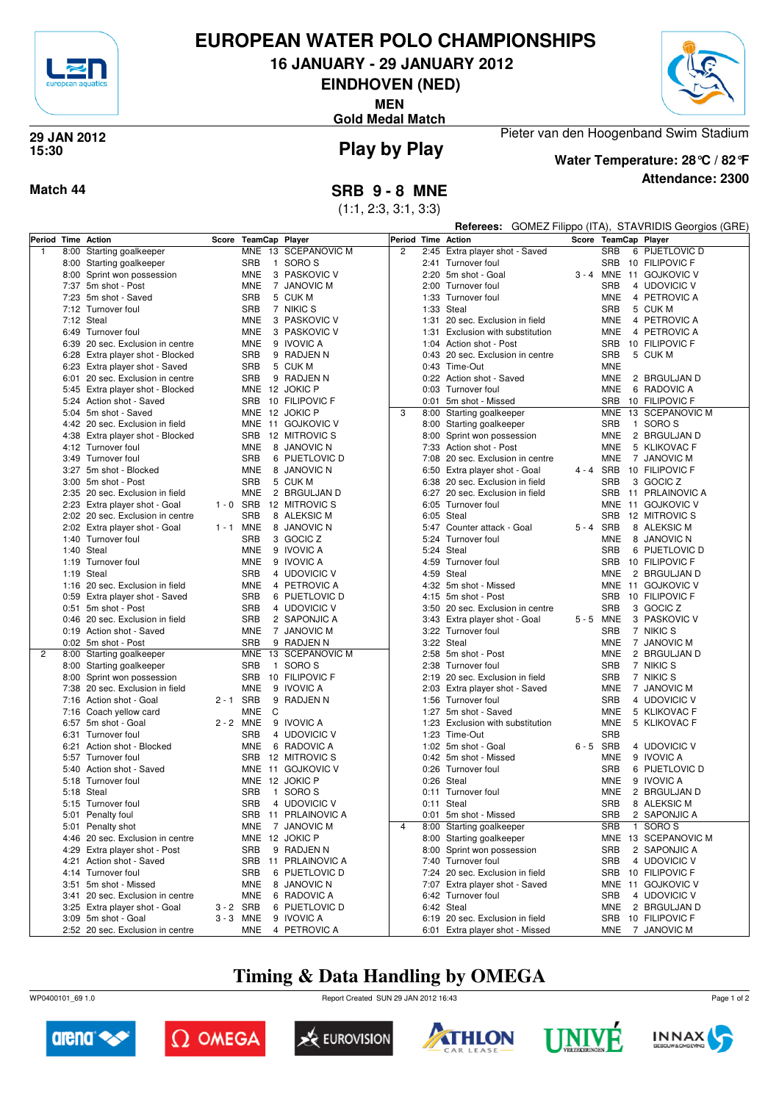

## **EUROPEAN WATER POLO CHAMPIONSHIPS**

**16 JANUARY - 29 JANUARY 2012**

**EINDHOVEN (NED)**

**MEN**

**Gold Medal Match**



#### **Play by Play 29 JAN 2012 15:30**

**Attendance: 2300 Water Temperature: 28°C / 82°F**

Pieter van den Hoogenband Swim Stadium

**Match 44 SRB 9 - 8 MNE**

(1:1, 2:3, 3:1, 3:3)

|                    |                                                                    |             |                            |                              |                |      |                                                   |           |                          | Referees: GOMEZ Filippo (ITA), STAVRIDIS Georgios (GRE) |
|--------------------|--------------------------------------------------------------------|-------------|----------------------------|------------------------------|----------------|------|---------------------------------------------------|-----------|--------------------------|---------------------------------------------------------|
| Period Time Action |                                                                    | Score       | TeamCap Player             |                              |                |      | Period Time Action                                |           |                          | Score TeamCap Player                                    |
| $\overline{1}$     | 8:00 Starting goalkeeper                                           |             |                            | MNE 13 SCEPANOVIC M          | $\overline{2}$ |      | 2:45 Extra player shot - Saved                    |           | <b>SRB</b>               | 6 PIJETLOVIC D                                          |
|                    | 8:00 Starting goalkeeper                                           |             | <b>SRB</b><br>$\mathbf{1}$ | SORO S                       |                |      | 2:41 Turnover foul                                |           | <b>SRB</b>               | 10 FILIPOVIC F                                          |
|                    | 8:00 Sprint won possession                                         |             | MNE                        | 3 PASKOVIC V                 |                |      | 2:20 5m shot - Goal                               | 3 - 4 MNE |                          | 11 GOJKOVIC V                                           |
|                    | 7:37 5m shot - Post                                                |             | <b>MNE</b>                 | 7 JANOVIC M                  |                |      | 2:00 Turnover foul                                |           | <b>SRB</b>               | 4 UDOVICIC V                                            |
|                    | 7:23 5m shot - Saved                                               |             | <b>SRB</b>                 | 5 CUK M                      |                |      | 1:33 Turnover foul                                |           | MNE                      | 4 PETROVIC A                                            |
|                    | 7:12 Turnover foul                                                 |             | <b>SRB</b>                 | 7 NIKIC S                    |                | 1:33 | Steal                                             |           | <b>SRB</b>               | 5 CUK M                                                 |
|                    | 7:12 Steal                                                         |             | <b>MNE</b>                 | 3 PASKOVIC V                 |                | 1:31 | 20 sec. Exclusion in field                        |           | MNE                      | 4 PETROVIC A                                            |
|                    | 6:49 Turnover foul                                                 |             | <b>MNE</b>                 | 3 PASKOVIC V                 |                | 1:31 | Exclusion with substitution                       |           | <b>MNE</b>               | 4 PETROVIC A                                            |
|                    | 6:39 20 sec. Exclusion in centre                                   |             | <b>MNE</b>                 | 9 IVOVIC A                   |                |      | 1:04 Action shot - Post                           |           | <b>SRB</b>               | 10 FILIPOVIC F                                          |
|                    | 6:28 Extra player shot - Blocked                                   |             | <b>SRB</b>                 | 9 RADJEN N                   |                |      | 0:43 20 sec. Exclusion in centre                  |           | <b>SRB</b><br><b>MNE</b> | 5 CUK M                                                 |
|                    | 6:23 Extra player shot - Saved<br>6:01 20 sec. Exclusion in centre |             | <b>SRB</b><br><b>SRB</b>   | 5 CUK M<br>9 RADJEN N        |                |      | 0:43 Time-Out<br>0:22 Action shot - Saved         |           | MNE                      | 2 BRGULJAN D                                            |
|                    | 5:45 Extra player shot - Blocked                                   |             |                            | MNE 12 JOKIC P               |                |      | 0:03 Turnover foul                                |           | <b>MNE</b>               | 6 RADOVIC A                                             |
|                    | 5:24 Action shot - Saved                                           |             |                            | SRB 10 FILIPOVIC F           |                |      | 0:01 5m shot - Missed                             |           | <b>SRB</b>               | 10 FILIPOVIC F                                          |
|                    | 5:04 5m shot - Saved                                               |             |                            | MNE 12 JOKIC P               | 3              |      | 8:00 Starting goalkeeper                          |           | <b>MNE</b>               | 13 SCEPANOVIC M                                         |
|                    | 4:42 20 sec. Exclusion in field                                    |             |                            | MNE 11 GOJKOVIC V            |                |      | 8:00 Starting goalkeeper                          |           | <b>SRB</b>               | 1 SORO S                                                |
|                    | 4:38 Extra player shot - Blocked                                   |             |                            | SRB 12 MITROVIC S            |                | 8:00 | Sprint won possession                             |           | <b>MNE</b>               | 2 BRGULJAN D                                            |
|                    | 4:12 Turnover foul                                                 |             | <b>MNE</b>                 | 8 JANOVIC N                  |                |      | 7:33 Action shot - Post                           |           | <b>MNE</b>               | 5 KLIKOVAC F                                            |
|                    | 3:49 Turnover foul                                                 |             | <b>SRB</b>                 | 6 PIJETLOVIC D               |                |      | 7:08 20 sec. Exclusion in centre                  |           | MNE                      | 7 JANOVIC M                                             |
|                    | 3:27 5m shot - Blocked                                             |             | <b>MNE</b>                 | 8 JANOVIC N                  |                |      | 6:50 Extra player shot - Goal                     | 4-4 SRB   |                          | 10 FILIPOVIC F                                          |
|                    | 3:00 5m shot - Post                                                |             | <b>SRB</b>                 | 5 CUK M                      |                | 6:38 | 20 sec. Exclusion in field                        |           | <b>SRB</b>               | 3 GOCIC Z                                               |
|                    | 2:35 20 sec. Exclusion in field                                    |             | <b>MNE</b>                 | 2 BRGULJAN D                 |                |      | 6:27 20 sec. Exclusion in field                   |           | <b>SRB</b>               | 11 PRLAINOVIC A                                         |
|                    | 2:23 Extra player shot - Goal                                      | $1 - 0$ SRB |                            | 12 MITROVIC S                |                |      | 6:05 Turnover foul                                |           | <b>MNE</b>               | 11 GOJKOVIC V                                           |
|                    | 2:02 20 sec. Exclusion in centre                                   |             | <b>SRB</b>                 | 8 ALEKSIC M                  |                |      | 6:05 Steal                                        |           | <b>SRB</b>               | 12 MITROVIC S                                           |
|                    | 2:02 Extra player shot - Goal                                      | 1 - 1 MNE   |                            | 8 JANOVIC N                  |                |      | 5:47 Counter attack - Goal                        | 5-4 SRB   |                          | 8 ALEKSIC M                                             |
|                    | 1:40 Turnover foul                                                 |             | <b>SRB</b>                 | 3 GOCIC Z                    |                |      | 5:24 Turnover foul                                |           | <b>MNE</b>               | 8 JANOVIC N                                             |
|                    | 1:40 Steal                                                         |             | <b>MNE</b>                 | 9 IVOVIC A                   |                |      | 5:24 Steal                                        |           | <b>SRB</b>               | 6 PIJETLOVIC D                                          |
|                    | 1:19 Turnover foul                                                 |             | <b>MNE</b>                 | 9 IVOVIC A                   |                |      | 4:59 Turnover foul                                |           | <b>SRB</b>               | 10 FILIPOVIC F                                          |
|                    | 1:19 Steal                                                         |             | <b>SRB</b>                 | 4 UDOVICIC V                 |                |      | 4:59 Steal                                        |           | <b>MNE</b>               | 2 BRGULJAN D                                            |
|                    | 1:16 20 sec. Exclusion in field                                    |             | <b>MNE</b>                 | 4 PETROVIC A                 |                |      | 4:32 5m shot - Missed                             |           |                          | MNE 11 GOJKOVIC V                                       |
|                    | 0:59 Extra player shot - Saved                                     |             | <b>SRB</b>                 | 6 PIJETLOVIC D               |                |      | 4:15 5m shot - Post                               |           | <b>SRB</b>               | 10 FILIPOVIC F                                          |
|                    | 0:51 5m shot - Post                                                |             | <b>SRB</b>                 | 4 UDOVICIC V                 |                |      | 3:50 20 sec. Exclusion in centre                  |           | <b>SRB</b>               | 3 GOCIC Z                                               |
|                    | 0:46 20 sec. Exclusion in field                                    |             | <b>SRB</b>                 | 2 SAPONJIC A                 |                |      | 3:43 Extra player shot - Goal                     | 5-5 MNE   |                          | 3 PASKOVIC V                                            |
|                    | 0:19 Action shot - Saved                                           |             | <b>MNE</b>                 | 7 JANOVIC M                  |                |      | 3:22 Turnover foul                                |           | <b>SRB</b>               | 7 NIKIC S                                               |
|                    | 0:02 5m shot - Post                                                |             | <b>SRB</b>                 | 9 RADJEN N                   |                |      | 3:22 Steal                                        |           | <b>MNE</b>               | 7 JANOVIC M                                             |
| 2                  | 8:00 Starting goalkeeper                                           |             | <b>MNE</b>                 | 13 SCEPANOVIC M              |                |      | 2:58 5m shot - Post                               |           | <b>MNE</b>               | 2 BRGULJAN D                                            |
|                    | 8:00 Starting goalkeeper                                           |             | <b>SRB</b>                 | 1 SORO S                     |                |      | 2:38 Turnover foul                                |           | <b>SRB</b>               | 7 NIKIC S                                               |
|                    | 8:00 Sprint won possession                                         |             | SRB                        | 10 FILIPOVIC F               |                |      | 2:19 20 sec. Exclusion in field                   |           | <b>SRB</b>               | 7 NIKIC S                                               |
|                    | 7:38 20 sec. Exclusion in field                                    |             | <b>MNE</b>                 | 9 IVOVIC A                   |                |      | 2:03 Extra player shot - Saved                    |           | <b>MNE</b>               | 7 JANOVIC M                                             |
|                    | 7:16 Action shot - Goal                                            | 2-1 SRB     |                            | 9 RADJEN N                   |                |      | 1:56 Turnover foul                                |           | <b>SRB</b>               | 4 UDOVICIC V                                            |
|                    | 7:16 Coach yellow card                                             |             | <b>MNE</b><br>C            |                              |                | 1:27 | 5m shot - Saved                                   |           | <b>MNE</b>               | 5 KLIKOVAC F                                            |
|                    | 6:57 5m shot - Goal                                                | 2 - 2 MNE   |                            | 9 IVOVIC A                   |                |      | 1:23 Exclusion with substitution                  |           | <b>MNE</b>               | 5 KLIKOVAC F                                            |
|                    | 6:31 Turnover foul                                                 |             | <b>SRB</b>                 | 4 UDOVICIC V                 |                |      | 1:23 Time-Out                                     |           | <b>SRB</b>               |                                                         |
|                    | 6:21 Action shot - Blocked                                         |             | MNE                        | 6 RADOVIC A                  |                |      | 1:02 5m shot - Goal                               | 6-5 SRB   |                          | 4 UDOVICIC V                                            |
|                    | 5:57 Turnover foul                                                 |             |                            | SRB 12 MITROVIC S            |                |      | 0:42 5m shot - Missed                             |           | <b>MNE</b>               | 9 IVOVIC A                                              |
|                    | 5:40 Action shot - Saved                                           |             |                            | MNE 11 GOJKOVIC V            |                |      | 0:26 Turnover foul                                |           | <b>SRB</b>               | 6 PIJETLOVIC D                                          |
|                    | 5:18 Turnover foul                                                 |             |                            | MNE 12 JOKIC P               |                |      | 0:26 Steal                                        |           | MNE                      | 9 IVOVIC A<br>2 BRGULJAN D                              |
|                    | 5:18 Steal                                                         |             | <b>SRB</b>                 | 1 SORO S<br>SRB 4 UDOVICIC V |                |      | 0:11 Turnover foul                                |           | MNE<br><b>SRB</b>        |                                                         |
|                    | 5:15 Turnover foul                                                 |             |                            | SRB 11 PRLAINOVIC A          |                |      | 0:11 Steal                                        |           | SRB                      | 8 ALEKSIC M<br>2 SAPONJIC A                             |
|                    | 5:01 Penalty foul<br>5:01 Penalty shot                             |             | MNE                        | 7 JANOVIC M                  | 4              |      | 0:01 5m shot - Missed<br>8:00 Starting goalkeeper |           | SRB                      | 1 SORO S                                                |
|                    | 4:46 20 sec. Exclusion in centre                                   |             |                            | MNE 12 JOKIC P               |                |      | 8:00 Starting goalkeeper                          |           | <b>MNE</b>               | 13 SCEPANOVIC M                                         |
|                    | 4:29 Extra player shot - Post                                      |             | <b>SRB</b>                 | 9 RADJEN N                   |                |      | 8:00 Sprint won possession                        |           | <b>SRB</b>               | 2 SAPONJIC A                                            |
|                    | 4:21 Action shot - Saved                                           |             |                            | SRB 11 PRLAINOVIC A          |                |      | 7:40 Turnover foul                                |           | <b>SRB</b>               | 4 UDOVICIC V                                            |
|                    | 4:14 Turnover foul                                                 |             | <b>SRB</b>                 | 6 PIJETLOVIC D               |                |      | 7:24 20 sec. Exclusion in field                   |           | SRB                      | 10 FILIPOVIC F                                          |
|                    | 3:51 5m shot - Missed                                              |             | MNE                        | 8 JANOVIC N                  |                |      | 7:07 Extra player shot - Saved                    |           |                          | MNE 11 GOJKOVIC V                                       |
|                    | 3:41 20 sec. Exclusion in centre                                   |             | MNE                        | 6 RADOVIC A                  |                |      | 6:42 Turnover foul                                |           | <b>SRB</b>               | 4 UDOVICIC V                                            |
|                    | 3:25 Extra player shot - Goal                                      | $3 - 2$ SRB |                            | 6 PIJETLOVIC D               |                |      | 6:42 Steal                                        |           | MNE                      | 2 BRGULJAN D                                            |
|                    | 3:09 5m shot - Goal                                                | 3-3 MNE     |                            | 9 IVOVIC A                   |                |      | 6:19 20 sec. Exclusion in field                   |           |                          | SRB 10 FILIPOVIC F                                      |
|                    | 2:52 20 sec. Exclusion in centre                                   |             | MNE                        | 4 PETROVIC A                 |                |      | 6:01 Extra player shot - Missed                   |           |                          | MNE 7 JANOVIC M                                         |

# **Timing & Data Handling by OMEGA**

WP0400101\_69 1.0 Report Created SUN 29 JAN 2012 16:43













Page 1 of 2